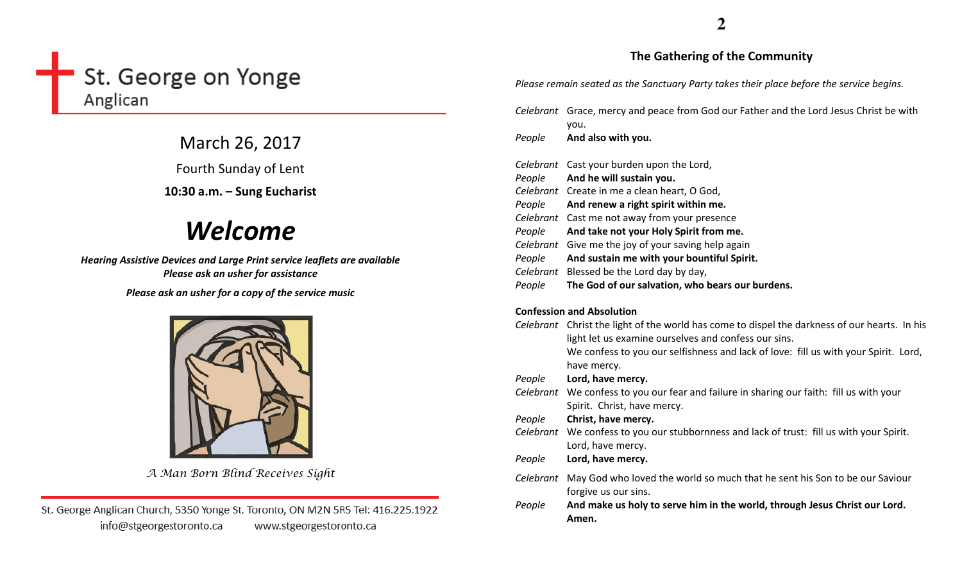# St. George on Yonge Anglican

March 26, 2017

Fourth Sunday of Lent

10:30 a.m. – Sung Eucharist

# Welcome

Hearing Assistive Devices and Large Print service leaflets are available Please ask an usher for assistance

Please ask an usher for a copy of the service music



A Man Born Blind Receives Sight

St. George Anglican Church, 5350 Yonge St. Toronto, ON M2N 5R5 Tel: 416.225.1922 www.stgeorgestoronto.ca info@stgeorgestoronto.ca

### The Gathering of the Community

Please remain seated as the Sanctuary Party takes their place before the service begins.

|           | Celebrant Grace, mercy and peace from God our Father and the Lord Jesus Christ be with<br>you. |
|-----------|------------------------------------------------------------------------------------------------|
| People    | And also with you.                                                                             |
|           | Celebrant Cast your burden upon the Lord,                                                      |
| People    | And he will sustain you.                                                                       |
|           | Celebrant Create in me a clean heart, O God,                                                   |
| People    | And renew a right spirit within me.                                                            |
|           | Celebrant Cast me not away from your presence                                                  |
| People    | And take not your Holy Spirit from me.                                                         |
|           | Celebrant Give me the joy of your saving help again                                            |
| People    | And sustain me with your bountiful Spirit.                                                     |
|           | Celebrant Blessed be the Lord day by day,                                                      |
| People    | The God of our salvation, who bears our burdens.                                               |
|           |                                                                                                |
|           | <b>Confession and Absolution</b>                                                               |
|           | Celebrant Christ the light of the world has come to dispel the darkness of our hearts. In his  |
|           | light let us examine ourselves and confess our sins.                                           |
|           | We confess to you our selfishness and lack of love: fill us with your Spirit. Lord,            |
|           | have mercy.                                                                                    |
| People    | Lord, have mercy.                                                                              |
| Celebrant | We confess to you our fear and failure in sharing our faith: fill us with your                 |
|           | Spirit. Christ, have mercy.                                                                    |
| People    | Christ, have mercy.                                                                            |
|           | Celebrant We confess to you our stubbornness and lack of trust: fill us with your Spirit.      |
|           | Lord, have mercy.                                                                              |
| People    | Lord, have mercy.                                                                              |
| Celebrant | May God who loved the world so much that he sent his Son to be our Saviour                     |
|           | forgive us our sins.                                                                           |
| People    | And make us holy to serve him in the world, through Jesus Christ our Lord.                     |
|           | Amen.                                                                                          |
|           |                                                                                                |
|           |                                                                                                |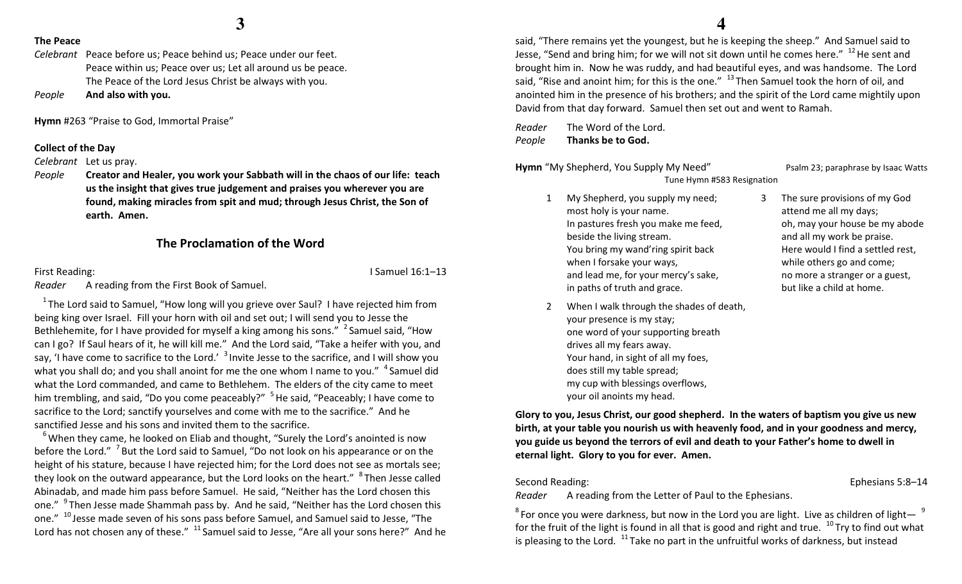#### The Peace

Celebrant Peace before us; Peace behind us; Peace under our feet. Peace within us; Peace over us; Let all around us be peace. The Peace of the Lord Jesus Christ be always with you.

PeopleAnd also with you.

Hymn #263 "Praise to God, Immortal Praise"

#### Collect of the Day

Celebrant Let us pray.

People Creator and Healer, you work your Sabbath will in the chaos of our life: teach us the insight that gives true judgement and praises you wherever you are found, making miracles from spit and mud; through Jesus Christ, the Son of earth. Amen.

#### The Proclamation of the Word

First Reading: I Samuel 16:1–13

Reader A reading from the First Book of Samuel.

 $1$ The Lord said to Samuel, "How long will you grieve over Saul? I have rejected him from being king over Israel. Fill your horn with oil and set out; I will send you to Jesse the Bethlehemite, for I have provided for myself a king among his sons."  $\frac{2}{3}$  Samuel said, "How can I go? If Saul hears of it, he will kill me." And the Lord said, "Take a heifer with you, and say, 'I have come to sacrifice to the Lord.'  $3$  Invite Jesse to the sacrifice, and I will show you what you shall do; and you shall anoint for me the one whom I name to you."  $4$  Samuel did what the Lord commanded, and came to Bethlehem. The elders of the city came to meet him trembling, and said, "Do you come peaceably?" <sup>5</sup>He said, "Peaceably; I have come to sacrifice to the Lord; sanctify yourselves and come with me to the sacrifice." And he sanctified Jesse and his sons and invited them to the sacrifice.

 $^6$  When they came, he looked on Eliab and thought, "Surely the Lord's anointed is now before the Lord."  $7$  But the Lord said to Samuel, "Do not look on his appearance or on the height of his stature, because I have rejected him; for the Lord does not see as mortals see; they look on the outward appearance, but the Lord looks on the heart." <sup>8</sup>Then Jesse called Abinadab, and made him pass before Samuel. He said, "Neither has the Lord chosen this one." <sup>9</sup>Then Jesse made Shammah pass by. And he said, "Neither has the Lord chosen this one." <sup>10</sup> Jesse made seven of his sons pass before Samuel, and Samuel said to Jesse, "The Lord has not chosen any of these."  $11$  Samuel said to Jesse, "Are all your sons here?" And he

 said, "There remains yet the youngest, but he is keeping the sheep." And Samuel said to Jesse, "Send and bring him; for we will not sit down until he comes here."  $12$  He sent and brought him in. Now he was ruddy, and had beautiful eyes, and was handsome. The Lord said, "Rise and anoint him; for this is the one." <sup>13</sup>Then Samuel took the horn of oil, and anointed him in the presence of his brothers; and the spirit of the Lord came mightily upon David from that day forward. Samuel then set out and went to Ramah.

3

Reader The Word of the Lord. PeopleThanks be to God.

**Hymn** "My Shepherd, You Supply My Need" Psalm 23; paraphrase by Isaac Watts Tune Hymn #583 Resignation

- 1 My Shepherd, you supply my need; most holy is your name. In pastures fresh you make me feed, beside the living stream. You bring my wand'ring spirit back when I forsake your ways, and lead me, for your mercy's sake, in paths of truth and grace.
- 2 When I walk through the shades of death, your presence is my stay; one word of your supporting breath drives all my fears away. Your hand, in sight of all my foes, does still my table spread; my cup with blessings overflows, your oil anoints my head.

Glory to you, Jesus Christ, our good shepherd. In the waters of baptism you give us new birth, at your table you nourish us with heavenly food, and in your goodness and mercy, you guide us beyond the terrors of evil and death to your Father's home to dwell in eternal light. Glory to you for ever. Amen.

Second Reading: Ephesians 5:8–14

Reader A reading from the Letter of Paul to the Ephesians.

 $8$  For once you were darkness, but now in the Lord you are light. Live as children of light -  $9$ for the fruit of the light is found in all that is good and right and true.  $10$ Try to find out what is pleasing to the Lord.  $11$  Take no part in the unfruitful works of darkness, but instead

 The sure provisions of my Godattend me all my days; oh, may your house be my abode and all my work be praise. Here would I find a settled rest,

while others go and come; no more a stranger or a guest, but like a child at home.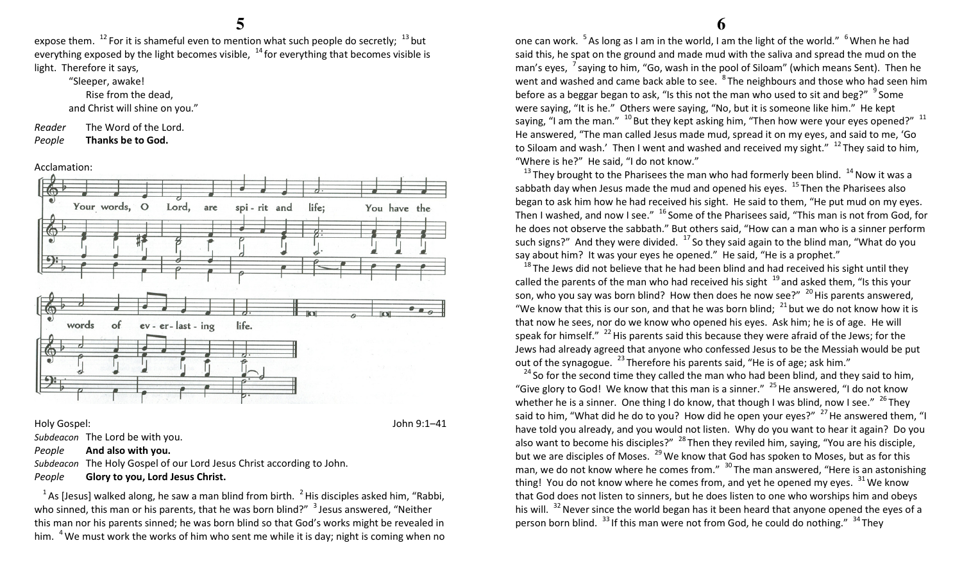expose them.  $^{12}$  For it is shameful even to mention what such people do secretly;  $^{13}$  but everything exposed by the light becomes visible,  $14$  for everything that becomes visible is light. Therefore it says,

"Sleeper, awake! Rise from the dead,

and Christ will shine on you."

Reader The Word of the Lord.

PeopleThanks be to God.

Acclamation:



Holy Gospel: John 9:1–41

Subdeacon The Lord be with you.

PeopleAnd also with you.

Subdeacon The Holy Gospel of our Lord Jesus Christ according to John.

PeopleGlory to you, Lord Jesus Christ.

<sup>1</sup>As [Jesus] walked along, he saw a man blind from birth.  $2$  His disciples asked him, "Rabbi, who sinned, this man or his parents, that he was born blind?"  $3$  Jesus answered. "Neither this man nor his parents sinned; he was born blind so that God's works might be revealed in him.  $4$  We must work the works of him who sent me while it is day; night is coming when no

one can work. <sup>5</sup>As long as I am in the world, I am the light of the world." <sup>6</sup>When he had said this, he spat on the ground and made mud with the saliva and spread the mud on the man's eyes,  $<sup>7</sup>$  saying to him, "Go, wash in the pool of Siloam" (which means Sent). Then he</sup> went and washed and came back able to see. <sup>8</sup>The neighbours and those who had seen him before as a beggar began to ask, "Is this not the man who used to sit and beg?"  $9$  Some were saying, "It is he." Others were saying, "No, but it is someone like him." He kept saying, "I am the man."  $^{10}$  But they kept asking him, "Then how were your eyes opened?"  $^{11}$ He answered, "The man called Jesus made mud, spread it on my eyes, and said to me, 'Go to Siloam and wash.' Then I went and washed and received my sight."  $12$  They said to him, "Where is he?" He said, "I do not know."

 $^{13}$ They brought to the Pharisees the man who had formerly been blind.  $^{14}$  Now it was a sabbath day when Jesus made the mud and opened his eyes.  $15$  Then the Pharisees also began to ask him how he had received his sight. He said to them, "He put mud on my eyes. Then I washed, and now I see."  $16$  Some of the Pharisees said, "This man is not from God, for he does not observe the sabbath." But others said, "How can a man who is a sinner perform such signs?" And they were divided.  $^{17}$  So they said again to the blind man, "What do you say about him? It was your eyes he opened." He said, "He is a prophet."

 $^{18}$ The Jews did not believe that he had been blind and had received his sight until they called the parents of the man who had received his sight  $^{19}$  and asked them, "Is this your son, who you say was born blind? How then does he now see?"  $^{20}$  His parents answered, "We know that this is our son, and that he was born blind;  $^{21}$  but we do not know how it is that now he sees, nor do we know who opened his eyes. Ask him; he is of age. He will speak for himself."  $^{22}$  His parents said this because they were afraid of the Jews; for the Jews had already agreed that anyone who confessed Jesus to be the Messiah would be put out of the synagogue. <sup>23</sup> Therefore his parents said, "He is of age; ask him."

 $^{24}$  So for the second time they called the man who had been blind, and they said to him, "Give glory to God! We know that this man is a sinner."  $25$  He answered, "I do not know whether he is a sinner. One thing I do know, that though I was blind, now I see."  $26$  They said to him, "What did he do to you? How did he open your eyes?"  $^{27}$  He answered them, "I have told you already, and you would not listen. Why do you want to hear it again? Do you also want to become his disciples?"  $^{28}$  Then they reviled him, saying, "You are his disciple, but we are disciples of Moses.  $^{29}$  We know that God has spoken to Moses, but as for this man, we do not know where he comes from."  $30$  The man answered, "Here is an astonishing thing! You do not know where he comes from, and yet he opened my eyes.  $31$  We know that God does not listen to sinners, but he does listen to one who worships him and obeys his will.  $^{32}$  Never since the world began has it been heard that anyone opened the eyes of a person born blind.  $33$  If this man were not from God, he could do nothing."  $34$  They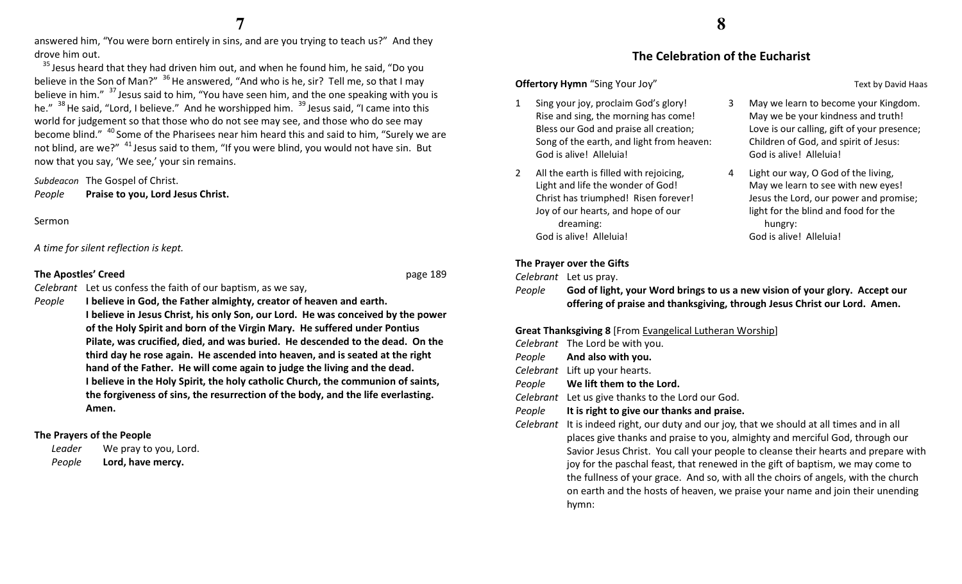answered him, "You were born entirely in sins, and are you trying to teach us?" And they drove him out.

 $35$  Jesus heard that they had driven him out, and when he found him, he said, "Do you believe in the Son of Man?"  $36$  He answered, "And who is he, sir? Tell me, so that I may believe in him." <sup>37</sup> Jesus said to him, "You have seen him, and the one speaking with you is he." <sup>38</sup>He said, "Lord, I believe." And he worshipped him. <sup>39</sup> Jesus said, "I came into this world for judgement so that those who do not see may see, and those who do see may become blind."  $40$  Some of the Pharisees near him heard this and said to him, "Surely we are not blind, are we?" <sup>41</sup> Jesus said to them, "If you were blind, you would not have sin. But now that you say, 'We see,' your sin remains.

Subdeacon The Gospel of Christ. PeoplePraise to you, Lord Jesus Christ.

Sermon

A time for silent reflection is kept.

#### The Apostles' Creed

d by a page 189

Celebrant Let us confess the faith of our baptism, as we say,

People I believe in God, the Father almighty, creator of heaven and earth. I believe in Jesus Christ, his only Son, our Lord. He was conceived by the power of the Holy Spirit and born of the Virgin Mary. He suffered under Pontius Pilate, was crucified, died, and was buried. He descended to the dead. On the third day he rose again. He ascended into heaven, and is seated at the right hand of the Father. He will come again to judge the living and the dead. I believe in the Holy Spirit, the holy catholic Church, the communion of saints, the forgiveness of sins, the resurrection of the body, and the life everlasting. Amen.

#### The Prayers of the People

| Leader | We pray to you, Lord. |
|--------|-----------------------|
| People | Lord, have mercy.     |

## **8**

#### The Celebration of the Eucharist

**Offertory Hymn** "Sing Your Joy" Text by David Haas

- 1 Sing your joy, proclaim God's glory! Rise and sing, the morning has come! Bless our God and praise all creation; Song of the earth, and light from heaven: God is alive! Alleluia!
- 2 All the earth is filled with rejoicing, Light and life the wonder of God! Christ has triumphed! Risen forever! Joy of our hearts, and hope of our dreaming: God is alive! Alleluia!

- 3 May we learn to become your Kingdom. May we be your kindness and truth! Love is our calling, gift of your presence; Children of God, and spirit of Jesus: God is alive! Alleluia!
- 4 Light our way, O God of the living, May we learn to see with new eyes! Jesus the Lord, our power and promise; light for the blind and food for the hungry: God is alive! Alleluia!

#### The Prayer over the Gifts

- Celebrant Let us pray.
- People God of light, your Word brings to us a new vision of your glory. Accept our offering of praise and thanksgiving, through Jesus Christ our Lord. Amen.

#### Great Thanksgiving 8 [From Evangelical Lutheran Worship]

| Celebrant The Lord be with you. |  |  |  |  |  |
|---------------------------------|--|--|--|--|--|
|---------------------------------|--|--|--|--|--|

- PeopleAnd also with you.
- Celebrant Lift up your hearts.
- PeopleWe lift them to the Lord.

Celebrant Let us give thanks to the Lord our God.

#### PeopleIt is right to give our thanks and praise.

Celebrant It is indeed right, our duty and our joy, that we should at all times and in all places give thanks and praise to you, almighty and merciful God, through our Savior Jesus Christ. You call your people to cleanse their hearts and prepare with joy for the paschal feast, that renewed in the gift of baptism, we may come to the fullness of your grace. And so, with all the choirs of angels, with the church on earth and the hosts of heaven, we praise your name and join their unending hymn: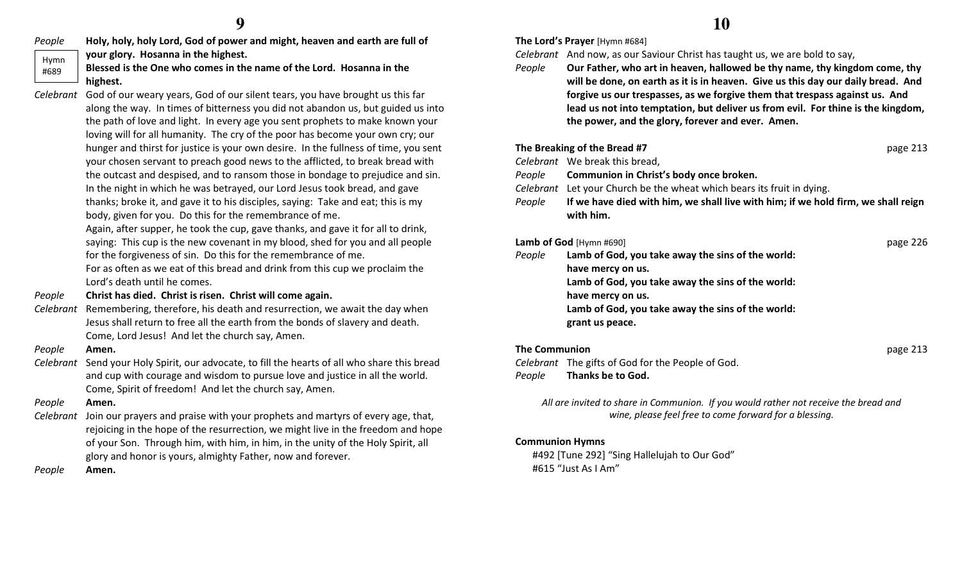PeopleHymn

#689

 $e$  Holy, holy, holy Lord, God of power and might, heaven and earth are full of your glory. Hosanna in the highest. Blessed is the One who comes in the name of the Lord. Hosanna in the

|                     | highest.                                                                                     |
|---------------------|----------------------------------------------------------------------------------------------|
| Celebrant           | God of our weary years, God of our silent tears, you have brought us this far                |
|                     | along the way. In times of bitterness you did not abandon us, but guided us into             |
|                     | the path of love and light. In every age you sent prophets to make known your                |
|                     | loving will for all humanity. The cry of the poor has become your own cry; our               |
|                     | hunger and thirst for justice is your own desire. In the fullness of time, you sent          |
|                     | your chosen servant to preach good news to the afflicted, to break bread with                |
|                     | the outcast and despised, and to ransom those in bondage to prejudice and sin.               |
|                     | In the night in which he was betrayed, our Lord Jesus took bread, and gave                   |
|                     | thanks; broke it, and gave it to his disciples, saying: Take and eat; this is my             |
|                     | body, given for you. Do this for the remembrance of me.                                      |
|                     | Again, after supper, he took the cup, gave thanks, and gave it for all to drink,             |
|                     | saying: This cup is the new covenant in my blood, shed for you and all people                |
|                     | for the forgiveness of sin. Do this for the remembrance of me.                               |
|                     | For as often as we eat of this bread and drink from this cup we proclaim the                 |
|                     | Lord's death until he comes.                                                                 |
| People              | Christ has died. Christ is risen. Christ will come again.                                    |
| Celebrant           | Remembering, therefore, his death and resurrection, we await the day when                    |
|                     | Jesus shall return to free all the earth from the bonds of slavery and death.                |
|                     | Come, Lord Jesus! And let the church say, Amen.                                              |
| People<br>Celebrant | Amen.<br>Send your Holy Spirit, our advocate, to fill the hearts of all who share this bread |
|                     | and cup with courage and wisdom to pursue love and justice in all the world.                 |
|                     | Come, Spirit of freedom! And let the church say, Amen.                                       |
| People              | Amen.                                                                                        |
| Celebrant           | Join our prayers and praise with your prophets and martyrs of every age, that,               |
|                     | rejoicing in the hope of the resurrection, we might live in the freedom and hope             |
|                     | of your Son. Through him, with him, in him, in the unity of the Holy Spirit, all             |
|                     | glory and honor is yours, almighty Father, now and forever.                                  |
| People              | Amen.                                                                                        |
|                     |                                                                                              |

## **10**

The Lord's Prayer [Hymn #684]

Celebrant And now, as our Saviour Christ has taught us, we are bold to say,

People Our Father, who art in heaven, hallowed be thy name, thy kingdom come, thy will be done, on earth as it is in heaven. Give us this day our daily bread. And forgive us our trespasses, as we forgive them that trespass against us. And lead us not into temptation, but deliver us from evil. For thine is the kingdom, the power, and the glory, forever and ever. Amen.

|        | The Breaking of the Bread #7                                                                   | page 213 |  |
|--------|------------------------------------------------------------------------------------------------|----------|--|
|        | Celebrant We break this bread,                                                                 |          |  |
| People | Communion in Christ's body once broken.                                                        |          |  |
|        | Celebrant Let your Church be the wheat which bears its fruit in dying.                         |          |  |
| People | If we have died with him, we shall live with him; if we hold firm, we shall reign<br>with him. |          |  |
|        | Lamb of God [Hymn #690]                                                                        | page 226 |  |
| People | Lamb of God, you take away the sins of the world:                                              |          |  |
|        | have mercy on us.                                                                              |          |  |
|        | Lamb of God, you take away the sins of the world:                                              |          |  |
|        | have mercy on us.                                                                              |          |  |
|        | Lamb of God, you take away the sins of the world:                                              |          |  |
|        | grant us peace.                                                                                |          |  |

#### The Communion

**n** page 213 Celebrant The gifts of God for the People of God. PeopleThanks be to God.

All are invited to share in Communion. If you would rather not receive the bread and wine, please feel free to come forward for a blessing.

### Communion Hymns

 #492 [Tune 292] "Sing Hallelujah to Our God" #615 "Just As I Am"